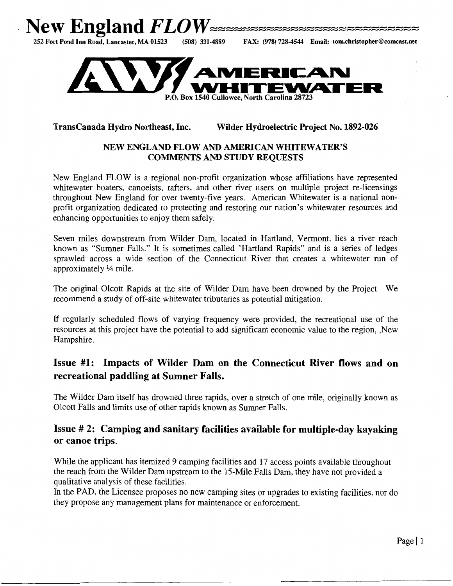



### TransCanada Hydro Northeast, Inc. Wilder Hydroelectric Project No. 1892-026

#### NEW ENGLAND FLOW AND AMERICAN WHITEWATER'S COMMENTS AND STUDY REQUESTS

New England FLOW is a regional non-profit organization whose affiliations have represented whitewater boaters, canoeists, rafters, and other river users on multiple project re-licensings throughout New England for over twenty-five years. American Whitewater is a national nonprofit organization dedicated to protecting and restoring our nation's whitewater resources and enhancing opportunities to enjoy them safely.

Seven miles downstream from Wilder Dam, located in Hartland, Vermont, lies a river reach known as "Sumner Falls." It is sometimes called "Hartland Rapids" and is a series of ledges sprawled across a wide section of the Connecticut River that creates a whitewater run of approximately  $\frac{1}{4}$  mile.

The original Olcott Rapids at the site of Wilder Dam have been drowned by the Project. We recommend a study of off-site whitewater tributaries as potential mitigation.

If regularly scheduled flows of varying frequency were provided, the recreational use of the resources at this project have the potential to add significant economic value to the region, ,New Hampshire.

# Issue #1: Impacts of Wilder Dam on the Connecticut River flows and on recreational paddling at Sumner Falls.

The Wilder Dam itself has drowned three rapids, over a stretch of one mile, originally known as Olcott Falls and limits use of other rapids known as Sumner Falls.

## Issue # 2: Camping and sanitary facilities available for multiple-day kayaking or canoe trips.

While the applicant has itemized 9 camping facilities and 17 access points available throughout the reach from the Wilder Dam upstream to the 15-Mile Falls Dam, they have not provided a qualitative analysis of these facilities.

In the PAD, the Licensee proposes no new camping sites or upgrades to existing facilities, nor do they propose any management plans for maintenance or enforcement.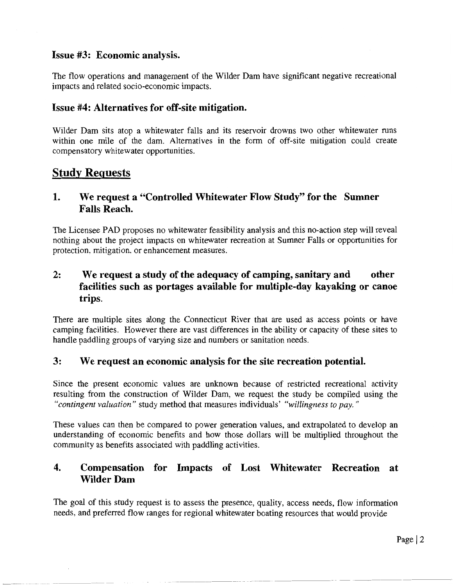## **Issue #3: Economic analysis.**

The flow operations and management of the Wilder Dam have significant negative recreational impacts and related socio-economic impacts.

## **Issue #4: Alternatives for off-site mitigation.**

Wilder Dam sits atop a whitewater falls and its reservoir drowns two other whitewater runs within one mile of the dam. Alternatives in the form of off-site mitigation could create compensatory whitewater opportunities.

# **Study Requests**

# **1. We request a "Controlled Whitewater Flow Study" for the Sumner Falls Reach.**

The Licensee PAD proposes no whitewater feasibility analysis and this no-action step will reveal nothing about the project impacts on whitewater recreation at Sumner Falls or opportunities for protection, mitigation, or enhancement measures.

# **2: We request a study of the adequacy of camping, sanitary and other facilities such as portages available for multiple-day kayaking or canoe trips.**

There are multiple sites along the Connecticut River that are used as access points or have camping facilities. However there are vast differences in the ability or capacity of these sites to handle paddling groups of varying size and numbers or sanitation needs.

### **3: We request an economic analysis for the site recreation potential.**

Since the present economic values are unknown because of restricted recreational activity resulting from the construction of Wilder Dam, we request the study be compiled using the *"contingent valuation"* study method that measures individuals' *"willingness to pay.* "

These values can then be compared to power generation values, and extrapolated to develop an understanding of economic benefits and how those dollars will be multiplied throughout the community as benefits associated with paddling activities.

## **4. Compensation for Impacts of Lost Whitewater Recreation at Wilder Dam**

The goal of this study request is to assess the presence, quality, access needs, flow information needs, and preferred flow ranges for regional whitewater boating resources that would provide